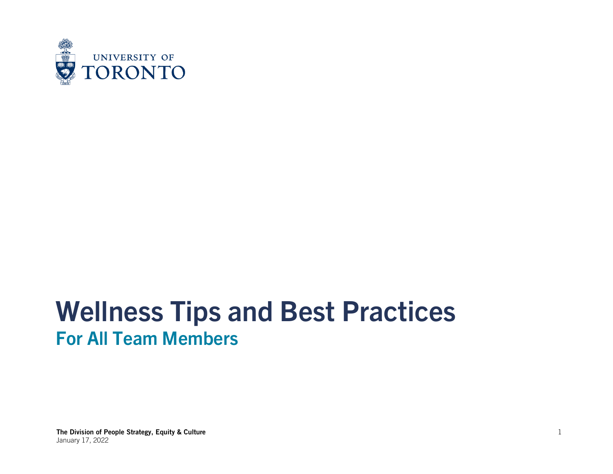

# **Wellness Tips and Best Practices For All Team Members**

The Division of People Strategy, Equity & Culture January 17, 2022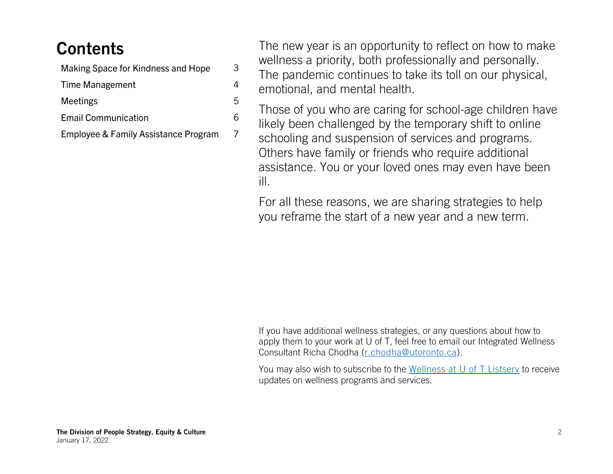# **Contents**

| Making Space for Kindness and Hope   |
|--------------------------------------|
| Time Management                      |
| <b>Meetings</b>                      |
| <b>Email Communication</b>           |
| Employee & Family Assistance Program |

3

4

5

6

7

The new year is an opportunity to reflect on how to make wellness a priority, both professionally and personally. The pandemic continues to take its toll on our physical, emotional, and mental health.

Those of you who are caring for school-age children have likely been challenged by the temporary shift to online schooling and suspension of services and programs. Others have family or friends who require additional assistance. You or your loved ones may even have been ill.

For all these reasons, we are sharing strategies to help you reframe the start of a new year and a new term.

If you have additional wellness strategies, or any questions about how to apply them to your work at U of T, feel free to email our Integrated Wellness Consultant Richa Chodha [\(r.chodha@utoronto.ca\)](mailto:r.chodha@utoronto.ca).

You may also wish to subscribe to the [Wellness at U of T Listserv](mailto:WELLNESSATUOFT-L-request@listserv.utoronto.ca) to receive updates on wellness programs and services.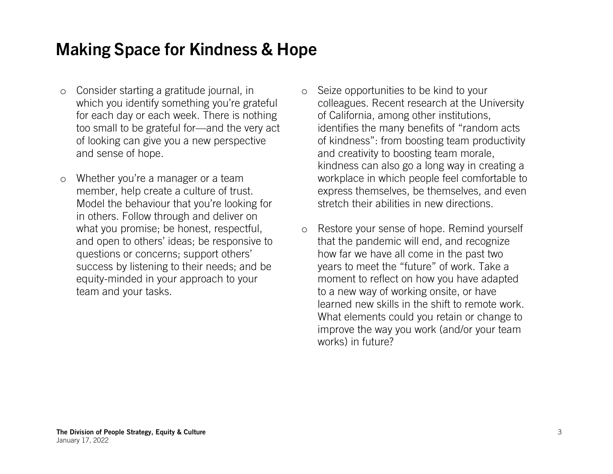#### **Making Space for Kindness & Hope**

- o Consider starting a gratitude journal, in which you identify something you're grateful for each day or each week. There is nothing too small to be grateful for—and the very act of looking can give you a new perspective and sense of hope.
- o Whether you're a manager or a team member, help create a culture of trust. Model the behaviour that you're looking for in others. Follow through and deliver on what you promise; be honest, respectful, and open to others' ideas; be responsive to questions or concerns; support others' success by listening to their needs; and be equity-minded in your approach to your team and your tasks.
- o Seize opportunities to be kind to your colleagues. Recent research at the University of California, among other institutions, identifies the many benefits of "random acts of kindness": from boosting team productivity and creativity to boosting team morale, kindness can also go a long way in creating a workplace in which people feel comfortable to express themselves, be themselves, and even stretch their abilities in new directions.
- o Restore your sense of hope. Remind yourself that the pandemic will end, and recognize how far we have all come in the past two years to meet the "future" of work. Take a moment to reflect on how you have adapted to a new way of working onsite, or have learned new skills in the shift to remote work. What elements could you retain or change to improve the way you work (and/or your team works) in future?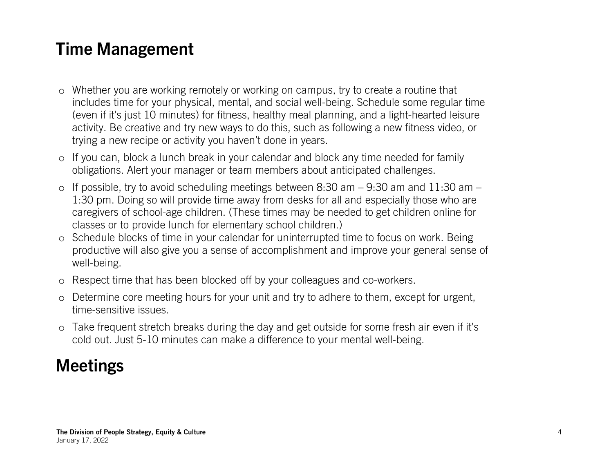### **Time Management**

- o Whether you are working remotely or working on campus, try to create a routine that includes time for your physical, mental, and social well-being. Schedule some regular time (even if it's just 10 minutes) for fitness, healthy meal planning, and a light-hearted leisure activity. Be creative and try new ways to do this, such as following a new fitness video, or trying a new recipe or activity you haven't done in years.
- o If you can, block a lunch break in your calendar and block any time needed for family obligations. Alert your manager or team members about anticipated challenges.
- $\circ$  If possible, try to avoid scheduling meetings between 8:30 am 9:30 am and 11:30 am 1:30 pm. Doing so will provide time away from desks for all and especially those who are caregivers of school-age children. (These times may be needed to get children online for classes or to provide lunch for elementary school children.)
- o Schedule blocks of time in your calendar for uninterrupted time to focus on work. Being productive will also give you a sense of accomplishment and improve your general sense of well-being.
- o Respect time that has been blocked off by your colleagues and co-workers.
- o Determine core meeting hours for your unit and try to adhere to them, except for urgent, time-sensitive issues.
- o Take frequent stretch breaks during the day and get outside for some fresh air even if it's cold out. Just 5-10 minutes can make a difference to your mental well-being.

# **Meetings**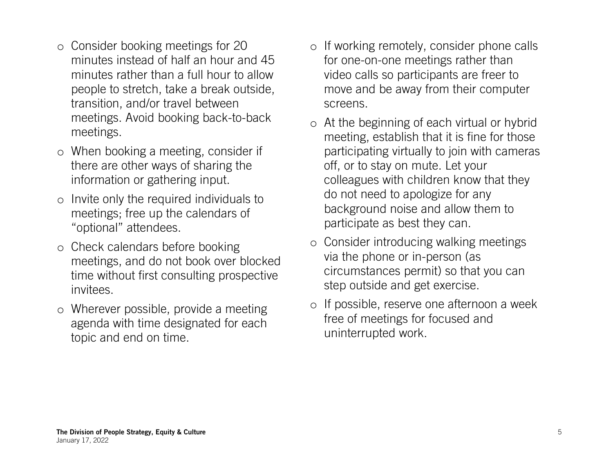- o Consider booking meetings for 20 minutes instead of half an hour and 45 minutes rather than a full hour to allow people to stretch, take a break outside, transition, and/or travel between meetings. Avoid booking back-to-back meetings.
- o When booking a meeting, consider if there are other ways of sharing the information or gathering input.
- o Invite only the required individuals to meetings; free up the calendars of "optional" attendees.
- o Check calendars before booking meetings, and do not book over blocked time without first consulting prospective invitees.
- o Wherever possible, provide a meeting agenda with time designated for each topic and end on time.
- o If working remotely, consider phone calls for one-on-one meetings rather than video calls so participants are freer to move and be away from their computer screens.
- o At the beginning of each virtual or hybrid meeting, establish that it is fine for those participating virtually to join with cameras off, or to stay on mute. Let your colleagues with children know that they do not need to apologize for any background noise and allow them to participate as best they can.
- o Consider introducing walking meetings via the phone or in-person (as circumstances permit) so that you can step outside and get exercise.
- o If possible, reserve one afternoon a week free of meetings for focused and uninterrupted work.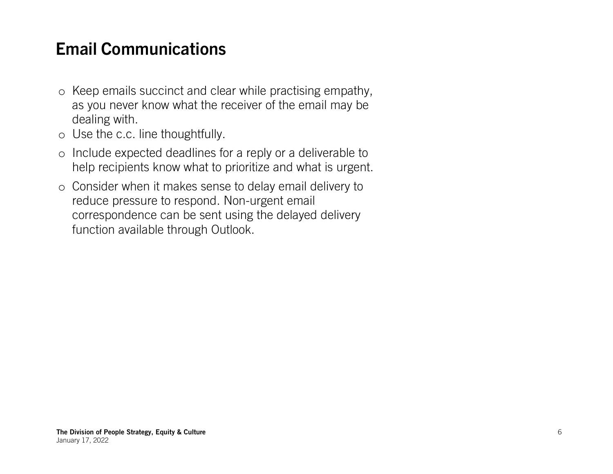## **Email Communications**

- o Keep emails succinct and clear while practising empathy, as you never know what the receiver of the email may be dealing with.
- o Use the c.c. line thoughtfully.
- o Include expected deadlines for a reply or a deliverable to help recipients know what to prioritize and what is urgent.
- o Consider when it makes sense to delay email delivery to reduce pressure to respond. Non-urgent email correspondence can be sent using the delayed delivery function available through Outlook.